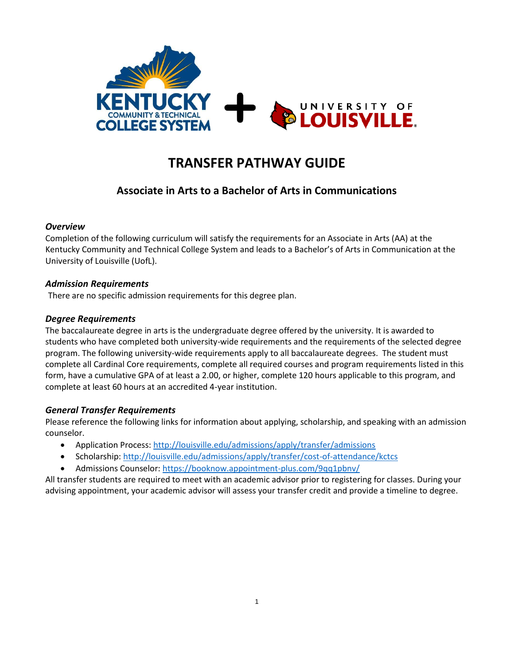

# **TRANSFER PATHWAY GUIDE**

# **Associate in Arts to a Bachelor of Arts in Communications**

#### *Overview*

Completion of the following curriculum will satisfy the requirements for an Associate in Arts (AA) at the Kentucky Community and Technical College System and leads to a Bachelor's of Arts in Communication at the University of Louisville (UofL).

#### *Admission Requirements*

There are no specific admission requirements for this degree plan.

#### *Degree Requirements*

The baccalaureate degree in arts is the undergraduate degree offered by the university. It is awarded to students who have completed both university-wide requirements and the requirements of the selected degree program. The following university-wide requirements apply to all baccalaureate degrees. The student must complete all Cardinal Core requirements, complete all required courses and program requirements listed in this form, have a cumulative GPA of at least a 2.00, or higher, complete 120 hours applicable to this program, and complete at least 60 hours at an accredited 4-year institution.

#### *General Transfer Requirements*

Please reference the following links for information about applying, scholarship, and speaking with an admission counselor.

- Application Process[: http://louisville.edu/admissions/apply/transfer/admissions](http://louisville.edu/admissions/apply/transfer/admissions)
- Scholarship[: http://louisville.edu/admissions/apply/transfer/cost-of-attendance/kctcs](http://louisville.edu/admissions/apply/transfer/cost-of-attendance/kctcs)
- Admissions Counselor[: https://booknow.appointment-plus.com/9qq1pbnv/](https://booknow.appointment-plus.com/9qq1pbnv/)

All transfer students are required to meet with an academic advisor prior to registering for classes. During your advising appointment, your academic advisor will assess your transfer credit and provide a timeline to degree.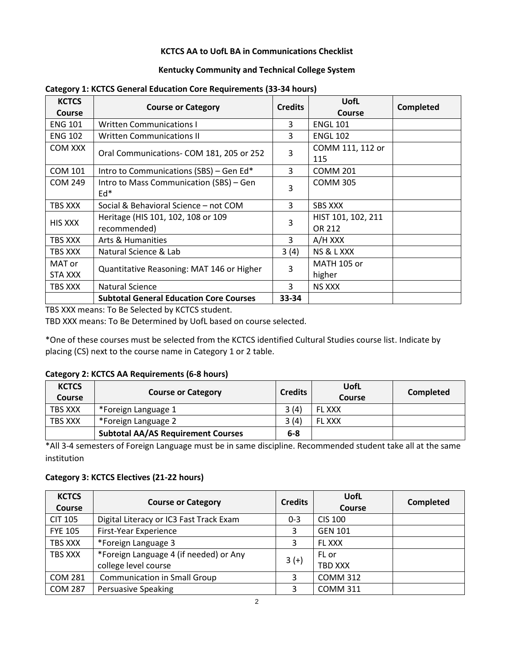#### **KCTCS AA to UofL BA in Communications Checklist**

#### **Kentucky Community and Technical College System**

| <b>KCTCS</b><br>Course | <b>Course or Category</b>                          | <b>Credits</b> | <b>UofL</b><br><b>Course</b> | Completed |
|------------------------|----------------------------------------------------|----------------|------------------------------|-----------|
| <b>ENG 101</b>         | <b>Written Communications I</b>                    | 3              | <b>ENGL 101</b>              |           |
| <b>ENG 102</b>         | <b>Written Communications II</b>                   | 3              | <b>ENGL 102</b>              |           |
| COM XXX                | Oral Communications- COM 181, 205 or 252           | 3              | COMM 111, 112 or<br>115      |           |
| <b>COM 101</b>         | Intro to Communications (SBS) – Gen Ed*            | 3              | <b>COMM 201</b>              |           |
| <b>COM 249</b>         | Intro to Mass Communication (SBS) - Gen<br>$Ed*$   | 3              | <b>COMM 305</b>              |           |
| TBS XXX                | Social & Behavioral Science - not COM              | 3              | <b>SBS XXX</b>               |           |
| <b>HIS XXX</b>         | Heritage (HIS 101, 102, 108 or 109<br>recommended) | 3              | HIST 101, 102, 211<br>OR 212 |           |
| TBS XXX                | <b>Arts &amp; Humanities</b>                       | 3              | A/H XXX                      |           |
| TBS XXX                | Natural Science & Lab                              | 3(4)           | NS & L XXX                   |           |
| MAT or<br>STA XXX      | Quantitative Reasoning: MAT 146 or Higher          | 3              | <b>MATH 105 or</b><br>higher |           |
| TBS XXX                | Natural Science                                    | 3              | <b>NS XXX</b>                |           |
|                        | <b>Subtotal General Education Core Courses</b>     | 33-34          |                              |           |

#### **Category 1: KCTCS General Education Core Requirements (33-34 hours)**

TBS XXX means: To Be Selected by KCTCS student.

TBD XXX means: To Be Determined by UofL based on course selected.

\*One of these courses must be selected from the KCTCS identified Cultural Studies course list. Indicate by placing (CS) next to the course name in Category 1 or 2 table.

#### **Category 2: KCTCS AA Requirements (6-8 hours)**

| <b>KCTCS</b><br>Course | <b>Course or Category</b>                 | <b>Credits</b> | UofL<br>Course | Completed |
|------------------------|-------------------------------------------|----------------|----------------|-----------|
| TBS XXX                | *Foreign Language 1                       | 3(4)           | <b>FL XXX</b>  |           |
| TBS XXX                | *Foreign Language 2                       | 3(4)           | <b>FL XXX</b>  |           |
|                        | <b>Subtotal AA/AS Requirement Courses</b> | $6 - 8$        |                |           |

\*All 3-4 semesters of Foreign Language must be in same discipline. Recommended student take all at the same institution

#### **Category 3: KCTCS Electives (21-22 hours)**

| <b>KCTCS</b><br><b>Course</b> | <b>Course or Category</b>                                      | <b>Credits</b> | <b>UofL</b><br>Course | Completed |
|-------------------------------|----------------------------------------------------------------|----------------|-----------------------|-----------|
| <b>CIT 105</b>                | Digital Literacy or IC3 Fast Track Exam                        | $0 - 3$        | <b>CIS 100</b>        |           |
| <b>FYE 105</b>                | First-Year Experience                                          | 3              | <b>GEN 101</b>        |           |
| TBS XXX                       | *Foreign Language 3                                            | 3              | FL XXX                |           |
| TBS XXX                       | *Foreign Language 4 (if needed) or Any<br>college level course | $3 (+)$        | FL or<br>TBD XXX      |           |
| <b>COM 281</b>                | <b>Communication in Small Group</b>                            | 3              | <b>COMM 312</b>       |           |
| <b>COM 287</b>                | <b>Persuasive Speaking</b>                                     | 3              | <b>COMM 311</b>       |           |